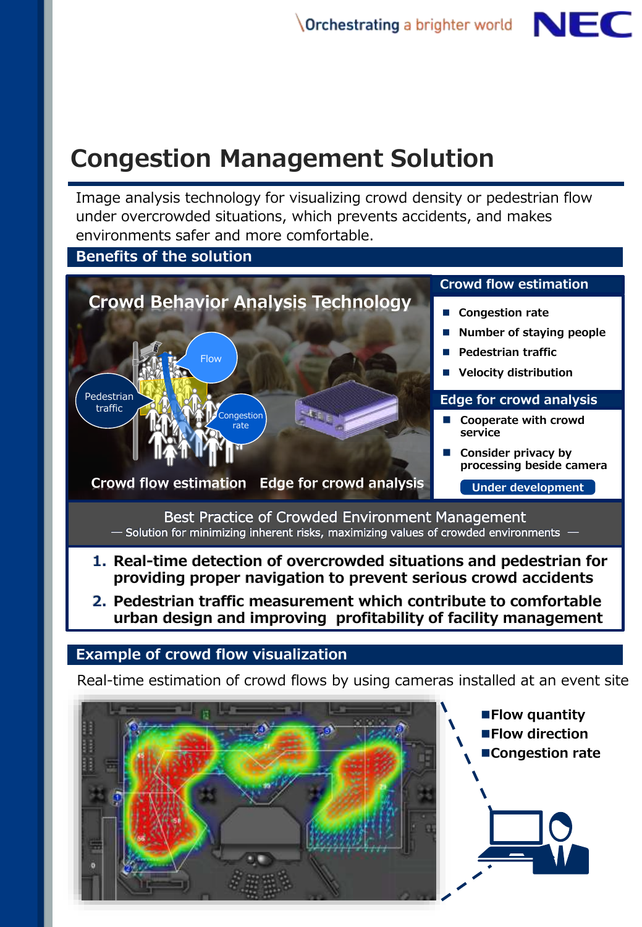# **Congestion Management Solution**

Image analysis technology for visualizing crowd density or pedestrian flow under overcrowded situations, which prevents accidents, and makes environments safer and more comfortable.



**2. Pedestrian traffic measurement which contribute to comfortable urban design and improving profitability of facility management**

# **Example of crowd flow visualization**

Real-time estimation of crowd flows by using cameras installed at an event site